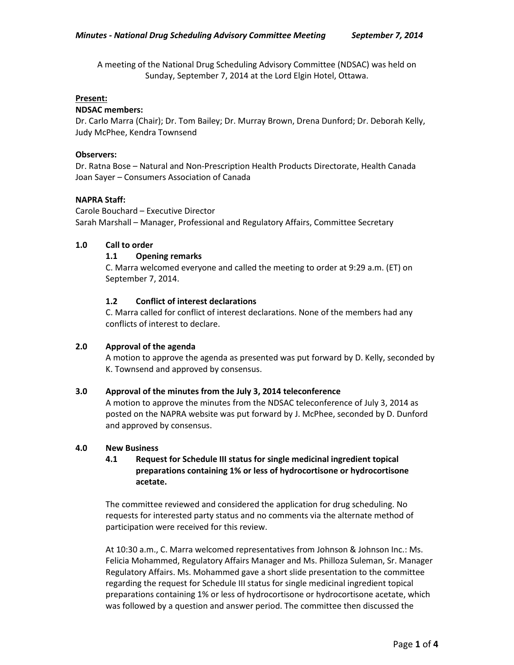A meeting of the National Drug Scheduling Advisory Committee (NDSAC) was held on Sunday, September 7, 2014 at the Lord Elgin Hotel, Ottawa.

#### **Present:**

### **NDSAC members:**

Dr. Carlo Marra (Chair); Dr. Tom Bailey; Dr. Murray Brown, Drena Dunford; Dr. Deborah Kelly, Judy McPhee, Kendra Townsend

### **Observers:**

Dr. Ratna Bose – Natural and Non-Prescription Health Products Directorate, Health Canada Joan Sayer – Consumers Association of Canada

### **NAPRA Staff:**

Carole Bouchard – Executive Director Sarah Marshall – Manager, Professional and Regulatory Affairs, Committee Secretary

### **1.0 Call to order**

# **1.1 Opening remarks**

C. Marra welcomed everyone and called the meeting to order at 9:29 a.m. (ET) on September 7, 2014.

# **1.2 Conflict of interest declarations**

C. Marra called for conflict of interest declarations. None of the members had any conflicts of interest to declare.

# **2.0 Approval of the agenda**

A motion to approve the agenda as presented was put forward by D. Kelly, seconded by K. Townsend and approved by consensus.

#### **3.0 Approval of the minutes from the July 3, 2014 teleconference**

A motion to approve the minutes from the NDSAC teleconference of July 3, 2014 as posted on the NAPRA website was put forward by J. McPhee, seconded by D. Dunford and approved by consensus.

#### **4.0 New Business**

# **4.1 Request for Schedule III status for single medicinal ingredient topical preparations containing 1% or less of hydrocortisone or hydrocortisone acetate.**

The committee reviewed and considered the application for drug scheduling. No requests for interested party status and no comments via the alternate method of participation were received for this review.

At 10:30 a.m., C. Marra welcomed representatives from Johnson & Johnson Inc.: Ms. Felicia Mohammed, Regulatory Affairs Manager and Ms. Philloza Suleman, Sr. Manager Regulatory Affairs. Ms. Mohammed gave a short slide presentation to the committee regarding the request for Schedule III status for single medicinal ingredient topical preparations containing 1% or less of hydrocortisone or hydrocortisone acetate, which was followed by a question and answer period. The committee then discussed the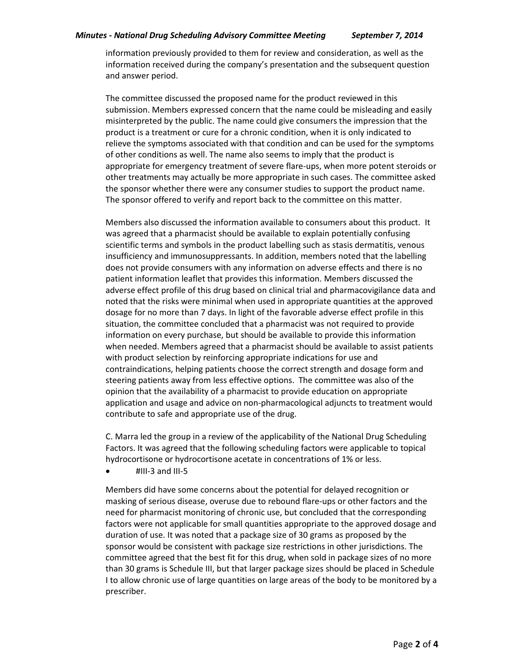### *Minutes - National Drug Scheduling Advisory Committee Meeting September 7, 2014*

information previously provided to them for review and consideration, as well as the information received during the company's presentation and the subsequent question and answer period.

The committee discussed the proposed name for the product reviewed in this submission. Members expressed concern that the name could be misleading and easily misinterpreted by the public. The name could give consumers the impression that the product is a treatment or cure for a chronic condition, when it is only indicated to relieve the symptoms associated with that condition and can be used for the symptoms of other conditions as well. The name also seems to imply that the product is appropriate for emergency treatment of severe flare-ups, when more potent steroids or other treatments may actually be more appropriate in such cases. The committee asked the sponsor whether there were any consumer studies to support the product name. The sponsor offered to verify and report back to the committee on this matter.

Members also discussed the information available to consumers about this product. It was agreed that a pharmacist should be available to explain potentially confusing scientific terms and symbols in the product labelling such as stasis dermatitis, venous insufficiency and immunosuppressants. In addition, members noted that the labelling does not provide consumers with any information on adverse effects and there is no patient information leaflet that provides this information. Members discussed the adverse effect profile of this drug based on clinical trial and pharmacovigilance data and noted that the risks were minimal when used in appropriate quantities at the approved dosage for no more than 7 days. In light of the favorable adverse effect profile in this situation, the committee concluded that a pharmacist was not required to provide information on every purchase, but should be available to provide this information when needed. Members agreed that a pharmacist should be available to assist patients with product selection by reinforcing appropriate indications for use and contraindications, helping patients choose the correct strength and dosage form and steering patients away from less effective options. The committee was also of the opinion that the availability of a pharmacist to provide education on appropriate application and usage and advice on non-pharmacological adjuncts to treatment would contribute to safe and appropriate use of the drug.

C. Marra led the group in a review of the applicability of the National Drug Scheduling Factors. It was agreed that the following scheduling factors were applicable to topical hydrocortisone or hydrocortisone acetate in concentrations of 1% or less.

 $\bullet$  #III-3 and III-5

Members did have some concerns about the potential for delayed recognition or masking of serious disease, overuse due to rebound flare-ups or other factors and the need for pharmacist monitoring of chronic use, but concluded that the corresponding factors were not applicable for small quantities appropriate to the approved dosage and duration of use. It was noted that a package size of 30 grams as proposed by the sponsor would be consistent with package size restrictions in other jurisdictions. The committee agreed that the best fit for this drug, when sold in package sizes of no more than 30 grams is Schedule III, but that larger package sizes should be placed in Schedule I to allow chronic use of large quantities on large areas of the body to be monitored by a prescriber.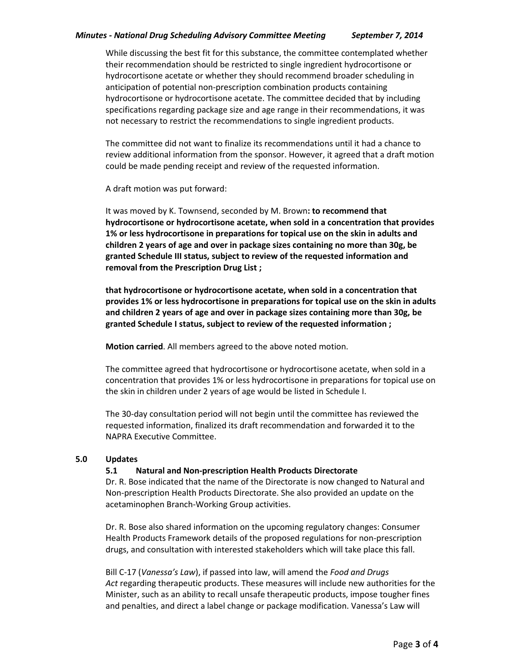# *Minutes - National Drug Scheduling Advisory Committee Meeting September 7, 2014*

While discussing the best fit for this substance, the committee contemplated whether their recommendation should be restricted to single ingredient hydrocortisone or hydrocortisone acetate or whether they should recommend broader scheduling in anticipation of potential non-prescription combination products containing hydrocortisone or hydrocortisone acetate. The committee decided that by including specifications regarding package size and age range in their recommendations, it was not necessary to restrict the recommendations to single ingredient products.

The committee did not want to finalize its recommendations until it had a chance to review additional information from the sponsor. However, it agreed that a draft motion could be made pending receipt and review of the requested information.

A draft motion was put forward:

It was moved by K. Townsend, seconded by M. Brown**: to recommend that hydrocortisone or hydrocortisone acetate, when sold in a concentration that provides 1% or less hydrocortisone in preparations for topical use on the skin in adults and children 2 years of age and over in package sizes containing no more than 30g, be granted Schedule III status, subject to review of the requested information and removal from the Prescription Drug List ;**

**that hydrocortisone or hydrocortisone acetate, when sold in a concentration that provides 1% or less hydrocortisone in preparations for topical use on the skin in adults and children 2 years of age and over in package sizes containing more than 30g, be granted Schedule I status, subject to review of the requested information ;**

**Motion carried**. All members agreed to the above noted motion.

The committee agreed that hydrocortisone or hydrocortisone acetate, when sold in a concentration that provides 1% or less hydrocortisone in preparations for topical use on the skin in children under 2 years of age would be listed in Schedule I.

The 30-day consultation period will not begin until the committee has reviewed the requested information, finalized its draft recommendation and forwarded it to the NAPRA Executive Committee.

# **5.0 Updates**

# **5.1 Natural and Non-prescription Health Products Directorate**

Dr. R. Bose indicated that the name of the Directorate is now changed to Natural and Non-prescription Health Products Directorate. She also provided an update on the acetaminophen Branch-Working Group activities.

Dr. R. Bose also shared information on the upcoming regulatory changes: Consumer Health Products Framework details of the proposed regulations for non-prescription drugs, and consultation with interested stakeholders which will take place this fall.

Bill C-17 (*Vanessa's Law*), if passed into law, will amend the *Food and Drugs Act* regarding therapeutic products. These measures will include new authorities for the Minister, such as an ability to recall unsafe therapeutic products, impose tougher fines and penalties, and direct a label change or package modification. Vanessa's Law will